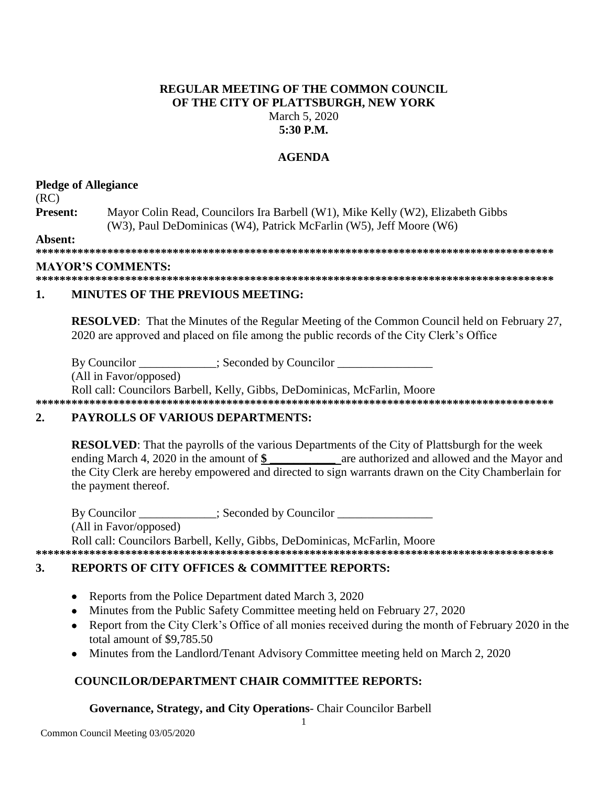### **REGULAR MEETING OF THE COMMON COUNCIL OF THE CITY OF PLATTSBURGH, NEW YORK** March 5, 2020 **5:30 P.M.**

### **AGENDA**

### **Pledge of Allegiance**

(RC)

**Present:** Mayor Colin Read, Councilors Ira Barbell (W1), Mike Kelly (W2), Elizabeth Gibbs (W3), Paul DeDominicas (W4), Patrick McFarlin (W5), Jeff Moore (W6)

**Absent:**

**\*\*\*\*\*\*\*\*\*\*\*\*\*\*\*\*\*\*\*\*\*\*\*\*\*\*\*\*\*\*\*\*\*\*\*\*\*\*\*\*\*\*\*\*\*\*\*\*\*\*\*\*\*\*\*\*\*\*\*\*\*\*\*\*\*\*\*\*\*\*\*\*\*\*\*\*\*\*\*\*\*\*\*\*\*\*\***

### **MAYOR'S COMMENTS:**

**\*\*\*\*\*\*\*\*\*\*\*\*\*\*\*\*\*\*\*\*\*\*\*\*\*\*\*\*\*\*\*\*\*\*\*\*\*\*\*\*\*\*\*\*\*\*\*\*\*\*\*\*\*\*\*\*\*\*\*\*\*\*\*\*\*\*\*\*\*\*\*\*\*\*\*\*\*\*\*\*\*\*\*\*\*\*\***

### **1. MINUTES OF THE PREVIOUS MEETING:**

**RESOLVED:** That the Minutes of the Regular Meeting of the Common Council held on February 27, 2020 are approved and placed on file among the public records of the City Clerk's Office

By Councilor \_\_\_\_\_\_\_\_\_\_\_\_; Seconded by Councilor \_\_\_\_\_\_\_\_\_\_\_\_\_\_\_\_\_\_\_\_\_\_\_\_\_\_\_\_\_\_\_

(All in Favor/opposed)

Roll call: Councilors Barbell, Kelly, Gibbs, DeDominicas, McFarlin, Moore

**\*\*\*\*\*\*\*\*\*\*\*\*\*\*\*\*\*\*\*\*\*\*\*\*\*\*\*\*\*\*\*\*\*\*\*\*\*\*\*\*\*\*\*\*\*\*\*\*\*\*\*\*\*\*\*\*\*\*\*\*\*\*\*\*\*\*\*\*\*\*\*\*\*\*\*\*\*\*\*\*\*\*\*\*\*\*\***

## **2. PAYROLLS OF VARIOUS DEPARTMENTS:**

**RESOLVED**: That the payrolls of the various Departments of the City of Plattsburgh for the week ending March 4, 2020 in the amount of \$ are authorized and allowed and the Mayor and the City Clerk are hereby empowered and directed to sign warrants drawn on the City Chamberlain for the payment thereof.

By Councilor  $\qquad \qquad :$  Seconded by Councilor (All in Favor/opposed) Roll call: Councilors Barbell, Kelly, Gibbs, DeDominicas, McFarlin, Moore

**\*\*\*\*\*\*\*\*\*\*\*\*\*\*\*\*\*\*\*\*\*\*\*\*\*\*\*\*\*\*\*\*\*\*\*\*\*\*\*\*\*\*\*\*\*\*\*\*\*\*\*\*\*\*\*\*\*\*\*\*\*\*\*\*\*\*\*\*\*\*\*\*\*\*\*\*\*\*\*\*\*\*\*\*\*\*\***

## **3. REPORTS OF CITY OFFICES & COMMITTEE REPORTS:**

- Reports from the Police Department dated March 3, 2020
- Minutes from the Public Safety Committee meeting held on February 27, 2020
- Report from the City Clerk's Office of all monies received during the month of February 2020 in the total amount of \$9,785.50
- Minutes from the Landlord/Tenant Advisory Committee meeting held on March 2, 2020

# **COUNCILOR/DEPARTMENT CHAIR COMMITTEE REPORTS:**

**Governance, Strategy, and City Operations**- Chair Councilor Barbell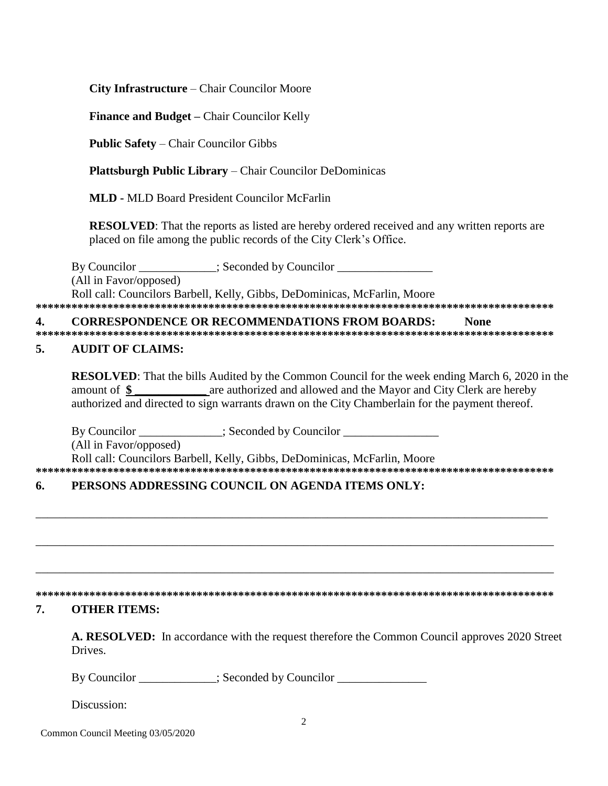City Infrastructure – Chair Councilor Moore

**Finance and Budget – Chair Councilor Kelly** 

**Public Safety - Chair Councilor Gibbs** 

**Plattsburgh Public Library – Chair Councilor DeDominicas** 

**MLD - MLD Board President Councilor McFarlin** 

**RESOLVED:** That the reports as listed are hereby ordered received and any written reports are placed on file among the public records of the City Clerk's Office.

By Councilor \_\_\_\_\_\_\_\_\_\_\_; Seconded by Councilor \_\_\_\_\_\_\_\_\_\_\_ (All in Favor/opposed) Roll call: Councilors Barbell, Kelly, Gibbs, DeDominicas, McFarlin, Moore 

#### **CORRESPONDENCE OR RECOMMENDATIONS FROM BOARDS:** 4. **None**

#### 5. **AUDIT OF CLAIMS:**

**RESOLVED:** That the bills Audited by the Common Council for the week ending March 6, 2020 in the are authorized and allowed and the Mayor and City Clerk are hereby amount of  $\$ authorized and directed to sign warrants drawn on the City Chamberlain for the payment thereof.

By Councilor \_\_\_\_\_\_\_\_\_\_\_\_\_; Seconded by Councilor \_\_\_\_\_\_\_\_\_\_\_\_\_\_\_\_\_\_\_\_\_\_\_\_\_\_\_\_\_\_

(All in Favor/opposed)

Roll call: Councilors Barbell, Kelly, Gibbs, DeDominicas, McFarlin, Moore 

### PERSONS ADDRESSING COUNCIL ON AGENDA ITEMS ONLY: 6.

#### 7. **OTHER ITEMS:**

A. RESOLVED: In accordance with the request therefore the Common Council approves 2020 Street Drives.

By Councilor : Seconded by Councilor

Discussion:

Common Council Meeting 03/05/2020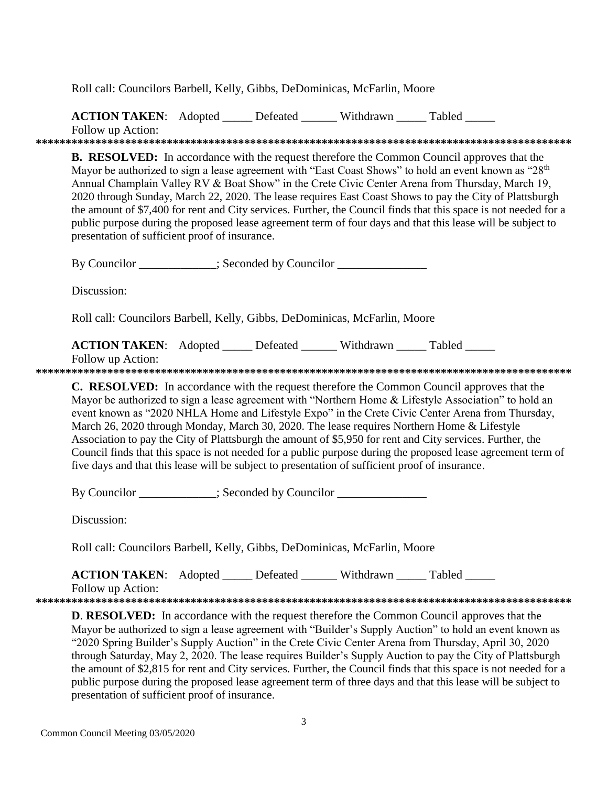Roll call: Councilors Barbell, Kelly, Gibbs, DeDominicas, McFarlin, Moore

**ACTION TAKEN:** Adopted Defeated Withdrawn Tabled

Follow up Action:

**B. RESOLVED:** In accordance with the request therefore the Common Council approves that the Mayor be authorized to sign a lease agreement with "East Coast Shows" to hold an event known as "28<sup>th</sup>" Annual Champlain Valley RV & Boat Show" in the Crete Civic Center Arena from Thursday, March 19, 2020 through Sunday, March 22, 2020. The lease requires East Coast Shows to pay the City of Plattsburgh the amount of \$7,400 for rent and City services. Further, the Council finds that this space is not needed for a public purpose during the proposed lease agreement term of four days and that this lease will be subject to presentation of sufficient proof of insurance. By Councilor \_\_\_\_\_\_\_\_\_\_\_; Seconded by Councilor \_\_\_\_\_\_\_\_\_\_\_\_ Discussion: Roll call: Councilors Barbell, Kelly, Gibbs, DeDominicas, McFarlin, Moore **ACTION TAKEN:** Adopted Defeated Withdrawn Tabled Follow up Action: **C. RESOLVED:** In accordance with the request therefore the Common Council approves that the Mayor be authorized to sign a lease agreement with "Northern Home & Lifestyle Association" to hold an event known as "2020 NHLA Home and Lifestyle Expo" in the Crete Civic Center Arena from Thursday. March 26, 2020 through Monday, March 30, 2020. The lease requires Northern Home & Lifestyle Association to pay the City of Plattsburgh the amount of \$5,950 for rent and City services. Further, the Council finds that this space is not needed for a public purpose during the proposed lease agreement term of five days and that this lease will be subject to presentation of sufficient proof of insurance. By Councilor \_\_\_\_\_\_\_\_\_\_; Seconded by Councilor \_\_\_\_\_\_\_\_\_\_\_\_\_\_\_ Discussion:

Roll call: Councilors Barbell, Kelly, Gibbs, DeDominicas, McFarlin, Moore

**ACTION TAKEN:** Adopted Defeated Withdrawn Tabled

Follow up Action:

**D. RESOLVED:** In accordance with the request therefore the Common Council approves that the Mayor be authorized to sign a lease agreement with "Builder's Supply Auction" to hold an event known as "2020 Spring Builder's Supply Auction" in the Crete Civic Center Arena from Thursday, April 30, 2020 through Saturday, May 2, 2020. The lease requires Builder's Supply Auction to pay the City of Plattsburgh the amount of \$2,815 for rent and City services. Further, the Council finds that this space is not needed for a public purpose during the proposed lease agreement term of three days and that this lease will be subject to presentation of sufficient proof of insurance.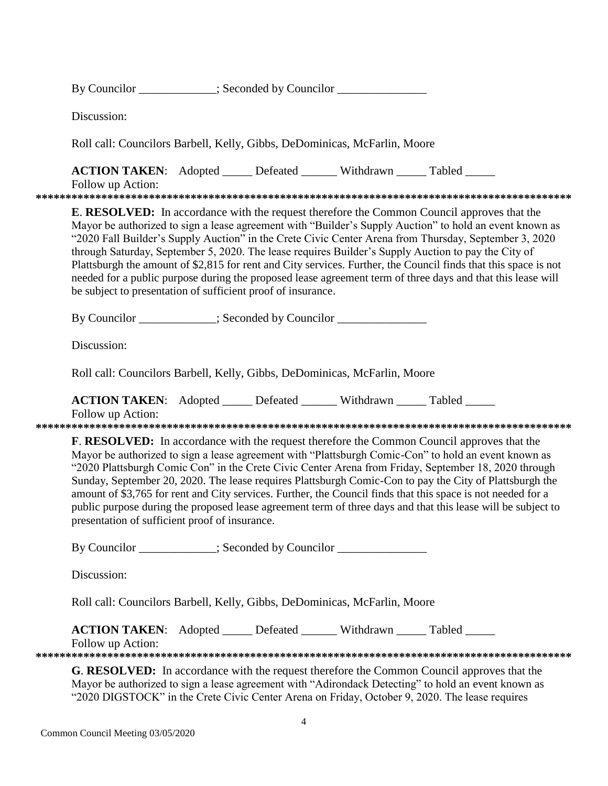|  | By Councilor | : Seconded by Councilor |  |
|--|--------------|-------------------------|--|
|--|--------------|-------------------------|--|

Discussion:

Roll call: Councilors Barbell, Kelly, Gibbs, DeDominicas, McFarlin, Moore

**ACTION TAKEN:** Adopted Defeated Withdrawn Tabled

Follow up Action:

**E. RESOLVED:** In accordance with the request therefore the Common Council approves that the Mayor be authorized to sign a lease agreement with "Builder's Supply Auction" to hold an event known as "2020 Fall Builder's Supply Auction" in the Crete Civic Center Arena from Thursday, September 3, 2020 through Saturday, September 5, 2020. The lease requires Builder's Supply Auction to pay the City of Plattsburgh the amount of \$2,815 for rent and City services. Further, the Council finds that this space is not needed for a public purpose during the proposed lease agreement term of three days and that this lease will be subject to presentation of sufficient proof of insurance.

By Councilor \_\_\_\_\_\_\_\_\_\_\_\_; Seconded by Councilor \_\_\_\_\_\_\_\_\_\_\_\_\_\_\_\_\_\_\_\_\_\_\_\_\_\_\_\_\_\_\_

Discussion:

Roll call: Councilors Barbell, Kelly, Gibbs, DeDominicas, McFarlin, Moore

**ACTION TAKEN:** Adopted \_\_\_\_\_ Defeated \_\_\_\_\_\_ Withdrawn \_\_\_\_\_ Tabled \_\_\_\_\_

Follow up Action:

**F. RESOLVED:** In accordance with the request therefore the Common Council approves that the Mayor be authorized to sign a lease agreement with "Plattsburgh Comic-Con" to hold an event known as "2020 Plattsburgh Comic Con" in the Crete Civic Center Arena from Friday, September 18, 2020 through Sunday, September 20, 2020. The lease requires Plattsburgh Comic-Con to pay the City of Plattsburgh the amount of \$3,765 for rent and City services. Further, the Council finds that this space is not needed for a public purpose during the proposed lease agreement term of three days and that this lease will be subject to presentation of sufficient proof of insurance.

By Councilor \_\_\_\_\_\_\_\_\_\_; Seconded by Councilor \_\_\_\_\_\_\_\_\_\_\_\_\_\_

Discussion:

Roll call: Councilors Barbell, Kelly, Gibbs, DeDominicas, McFarlin, Moore

**ACTION TAKEN:** Adopted \_\_\_\_\_ Defeated \_\_\_\_\_\_ Withdrawn \_\_\_\_\_ Tabled \_\_\_\_\_

Follow up Action:

G. RESOLVED: In accordance with the request therefore the Common Council approves that the Mayor be authorized to sign a lease agreement with "Adirondack Detecting" to hold an event known as "2020 DIGSTOCK" in the Crete Civic Center Arena on Friday, October 9, 2020. The lease requires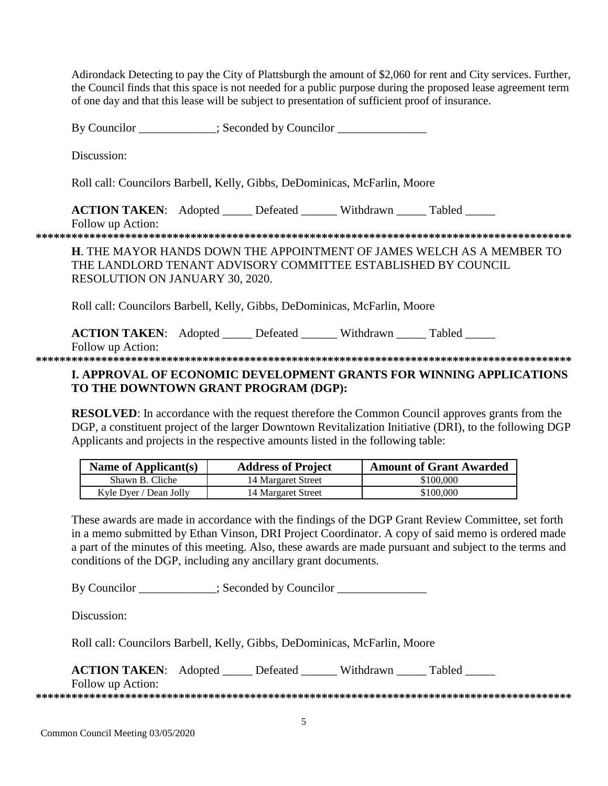Adirondack Detecting to pay the City of Plattsburgh the amount of \$2,060 for rent and City services. Further, the Council finds that this space is not needed for a public purpose during the proposed lease agreement term of one day and that this lease will be subject to presentation of sufficient proof of insurance.

By Councilor \_\_\_\_\_\_\_\_\_\_\_; Seconded by Councilor

Discussion:

Roll call: Councilors Barbell, Kelly, Gibbs, DeDominicas, McFarlin, Moore

**ACTION TAKEN:** Adopted Defeated Withdrawn Tabled Follow up Action:

**H.** THE MAYOR HANDS DOWN THE APPOINTMENT OF JAMES WELCH AS A MEMBER TO THE LANDLORD TENANT ADVISORY COMMITTEE ESTABLISHED BY COUNCIL **RESOLUTION ON JANUARY 30, 2020.** 

Roll call: Councilors Barbell, Kelly, Gibbs, DeDominicas, McFarlin, Moore

**ACTION TAKEN:** Adopted \_\_\_\_\_ Defeated \_\_\_\_\_\_ Withdrawn \_\_\_\_\_ Tabled \_\_\_\_\_ Follow up Action:

## **I. APPROVAL OF ECONOMIC DEVELOPMENT GRANTS FOR WINNING APPLICATIONS** TO THE DOWNTOWN GRANT PROGRAM (DGP):

**RESOLVED:** In accordance with the request therefore the Common Council approves grants from the DGP, a constituent project of the larger Downtown Revitalization Initiative (DRI), to the following DGP Applicants and projects in the respective amounts listed in the following table:

| Name of Applicant(s)   | <b>Address of Project</b> | <b>Amount of Grant Awarded</b> |
|------------------------|---------------------------|--------------------------------|
| Shawn B. Cliche        | 14 Margaret Street        | \$100,000                      |
| Kyle Dyer / Dean Jolly | 14 Margaret Street        | \$100,000                      |

These awards are made in accordance with the findings of the DGP Grant Review Committee, set forth in a memo submitted by Ethan Vinson, DRI Project Coordinator. A copy of said memo is ordered made a part of the minutes of this meeting. Also, these awards are made pursuant and subject to the terms and conditions of the DGP, including any ancillary grant documents.

By Councilor \_\_\_\_\_\_\_\_\_\_; Seconded by Councilor \_\_\_\_\_\_\_\_\_\_\_\_\_\_

Discussion:

Roll call: Councilors Barbell, Kelly, Gibbs, DeDominicas, McFarlin, Moore

ACTION TAKEN: Adopted \_\_\_\_\_ Defeated \_\_\_\_\_\_ Withdrawn \_\_\_\_\_ Tabled \_\_\_\_\_ Follow up Action: